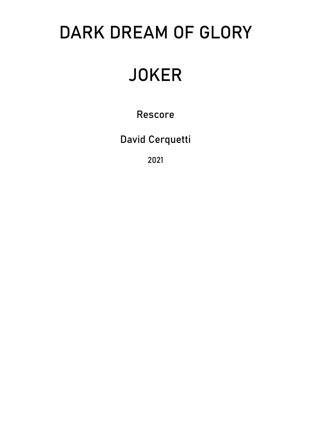## DARK DREAM OF GLORY

# **JOKER**

Rescore

David Cerquetti

2021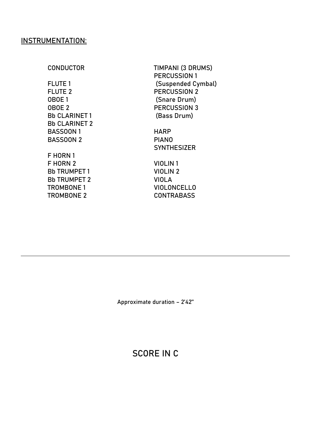#### INSTRUMENTATION:

CONDUCTOR TIMPANI (3 DRUMS) PERCUSSION 1 FLUTE 1 (Suspended Cymbal)

**SYNTHESIZER** 

FLUTE 2 PERCUSSION 2 OBOE 1 (Snare Drum) OBOE 2 PERCUSSION 3 Bb CLARINET 1 (Bass Drum) Bb CLARINET 2 BASSOON 1 HARP BASSOON 2 PIANO

F HORN 1 F HORN 2 VIOLIN 1 Bb TRUMPET 1 VIOLIN 2 Bb TRUMPET 2 VIOLA TROMBONE 1 VIOLONCELLO TROMBONE 2 CONTRABASS

### SCORE IN C